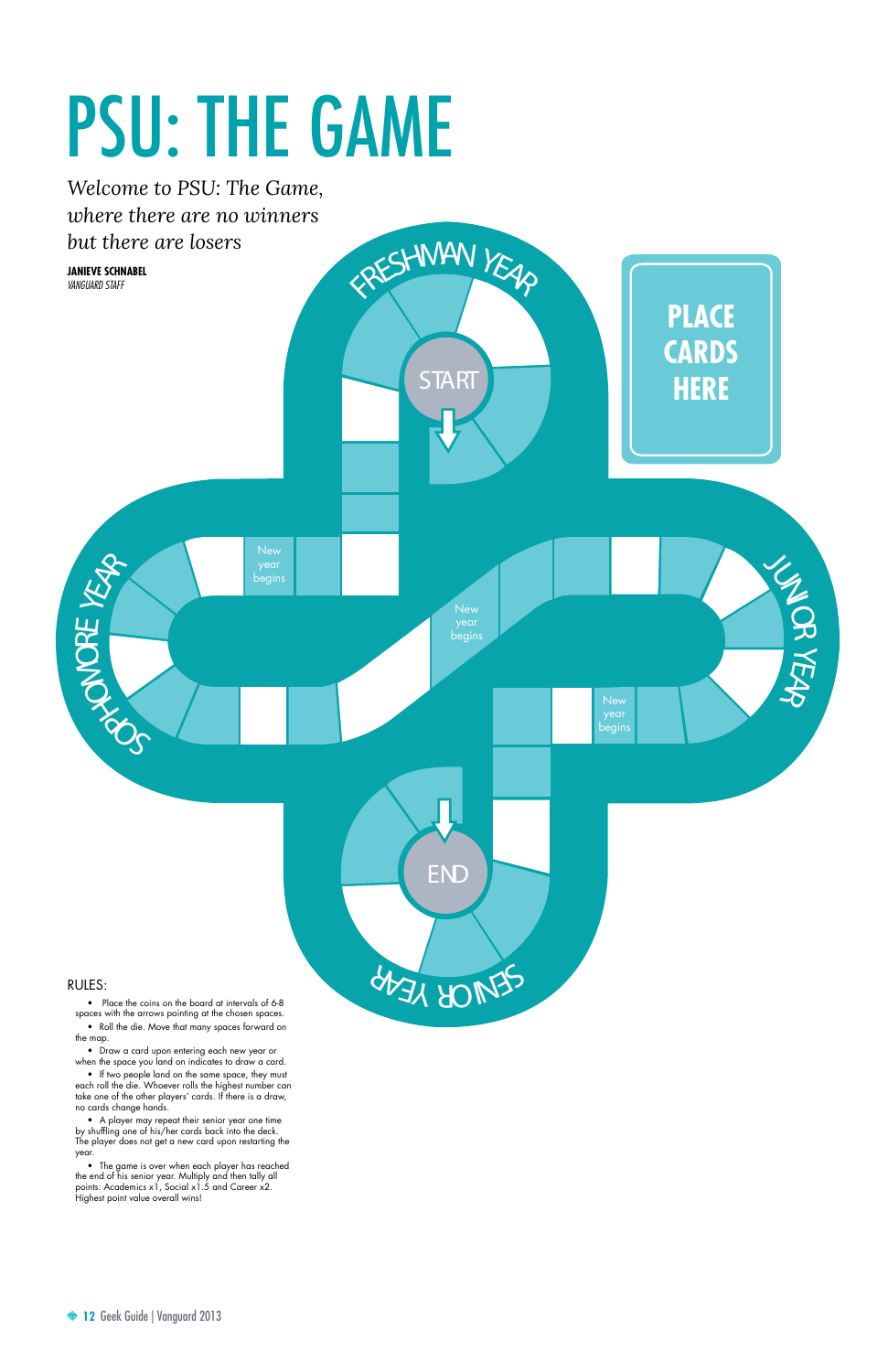**12** Geek Guide | Vanguard 2013

• Place the coins on the board at intervals of 6-8

spaces with the arrows pointing at the chosen spaces.

• Roll the die. Move that many spaces forward on the map.

• Draw a card upon entering each new year or when the space you land on indicates to draw a card.

• If two people land on the same space, they must each roll the die. Whoever rolls the highest number can take one of the other players' cards. If there is a draw, no cards change hands.

**START** ERESHMAN YEAR ERVICAL  $\mathcal{S}$ **HAP** ONORE YEAR JUNIOR **KEAR** END **PLACE CARDS HERE** *Welcome to PSU: The Game, where there are no winners but there are losers*  begins **New** begins year begins **Janieve Schnabel** *vanguard staff*

• A player may repeat their senior year one time by shuffling one of his/her cards back into the deck. The player does not get a new card upon restarting the year.

• The game is over when each player has reached the end of his senior year. Multiply and then tally all points: Academics x1, Social x1.5 and Career x2. Highest point value overall wins!

## PSU: THE GAME